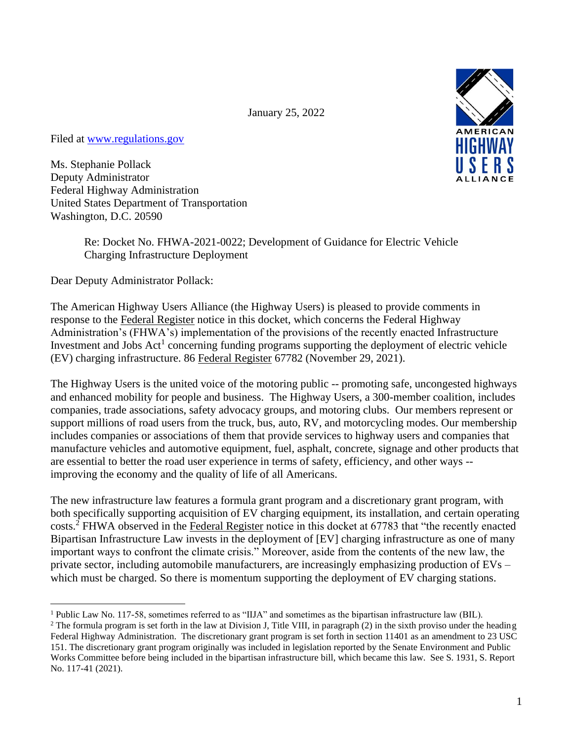January 25, 2022



Ms. Stephanie Pollack Deputy Administrator Federal Highway Administration United States Department of Transportation Washington, D.C. 20590

> Re: Docket No. FHWA-2021-0022; Development of Guidance for Electric Vehicle Charging Infrastructure Deployment

Dear Deputy Administrator Pollack:

The American Highway Users Alliance (the Highway Users) is pleased to provide comments in response to the Federal Register notice in this docket, which concerns the Federal Highway Administration's (FHWA's) implementation of the provisions of the recently enacted Infrastructure Investment and Jobs  $Act<sup>1</sup>$  concerning funding programs supporting the deployment of electric vehicle (EV) charging infrastructure. 86 Federal Register 67782 (November 29, 2021).

The Highway Users is the united voice of the motoring public -- promoting safe, uncongested highways and enhanced mobility for people and business. The Highway Users, a 300-member coalition, includes companies, trade associations, safety advocacy groups, and motoring clubs. Our members represent or support millions of road users from the truck, bus, auto, RV, and motorcycling modes. Our membership includes companies or associations of them that provide services to highway users and companies that manufacture vehicles and automotive equipment, fuel, asphalt, concrete, signage and other products that are essential to better the road user experience in terms of safety, efficiency, and other ways - improving the economy and the quality of life of all Americans.

The new infrastructure law features a formula grant program and a discretionary grant program, with both specifically supporting acquisition of EV charging equipment, its installation, and certain operating costs.<sup>2</sup> FHWA observed in the Federal Register notice in this docket at 67783 that "the recently enacted Bipartisan Infrastructure Law invests in the deployment of [EV] charging infrastructure as one of many important ways to confront the climate crisis." Moreover, aside from the contents of the new law, the private sector, including automobile manufacturers, are increasingly emphasizing production of EVs – which must be charged. So there is momentum supporting the deployment of EV charging stations.



<sup>&</sup>lt;sup>1</sup> Public Law No. 117-58, sometimes referred to as "IIJA" and sometimes as the bipartisan infrastructure law (BIL).

<sup>&</sup>lt;sup>2</sup> The formula program is set forth in the law at Division J, Title VIII, in paragraph (2) in the sixth proviso under the heading Federal Highway Administration. The discretionary grant program is set forth in section 11401 as an amendment to 23 USC 151. The discretionary grant program originally was included in legislation reported by the Senate Environment and Public Works Committee before being included in the bipartisan infrastructure bill, which became this law. See S. 1931, S. Report No. 117-41 (2021).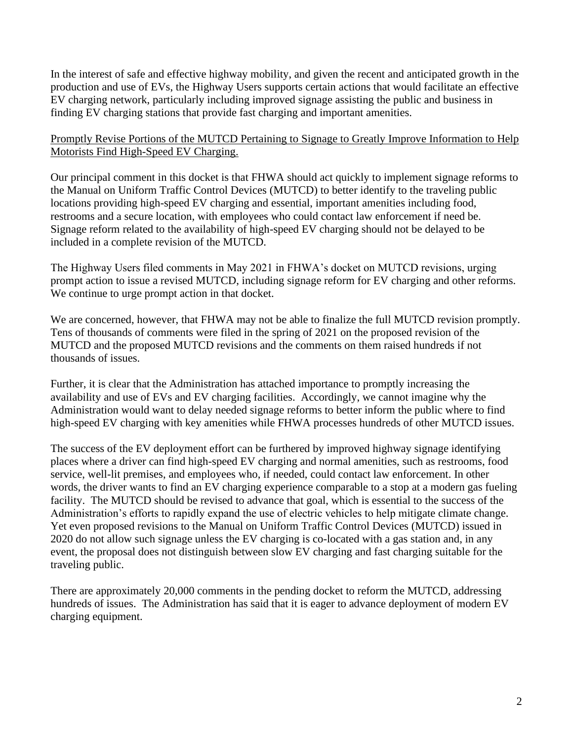In the interest of safe and effective highway mobility, and given the recent and anticipated growth in the production and use of EVs, the Highway Users supports certain actions that would facilitate an effective EV charging network, particularly including improved signage assisting the public and business in finding EV charging stations that provide fast charging and important amenities.

## Promptly Revise Portions of the MUTCD Pertaining to Signage to Greatly Improve Information to Help Motorists Find High-Speed EV Charging.

Our principal comment in this docket is that FHWA should act quickly to implement signage reforms to the Manual on Uniform Traffic Control Devices (MUTCD) to better identify to the traveling public locations providing high-speed EV charging and essential, important amenities including food, restrooms and a secure location, with employees who could contact law enforcement if need be. Signage reform related to the availability of high-speed EV charging should not be delayed to be included in a complete revision of the MUTCD.

The Highway Users filed comments in May 2021 in FHWA's docket on MUTCD revisions, urging prompt action to issue a revised MUTCD, including signage reform for EV charging and other reforms. We continue to urge prompt action in that docket.

We are concerned, however, that FHWA may not be able to finalize the full MUTCD revision promptly. Tens of thousands of comments were filed in the spring of 2021 on the proposed revision of the MUTCD and the proposed MUTCD revisions and the comments on them raised hundreds if not thousands of issues.

Further, it is clear that the Administration has attached importance to promptly increasing the availability and use of EVs and EV charging facilities. Accordingly, we cannot imagine why the Administration would want to delay needed signage reforms to better inform the public where to find high-speed EV charging with key amenities while FHWA processes hundreds of other MUTCD issues.

The success of the EV deployment effort can be furthered by improved highway signage identifying places where a driver can find high-speed EV charging and normal amenities, such as restrooms, food service, well-lit premises, and employees who, if needed, could contact law enforcement. In other words, the driver wants to find an EV charging experience comparable to a stop at a modern gas fueling facility. The MUTCD should be revised to advance that goal, which is essential to the success of the Administration's efforts to rapidly expand the use of electric vehicles to help mitigate climate change. Yet even proposed revisions to the Manual on Uniform Traffic Control Devices (MUTCD) issued in 2020 do not allow such signage unless the EV charging is co-located with a gas station and, in any event, the proposal does not distinguish between slow EV charging and fast charging suitable for the traveling public.

There are approximately 20,000 comments in the pending docket to reform the MUTCD, addressing hundreds of issues. The Administration has said that it is eager to advance deployment of modern EV charging equipment.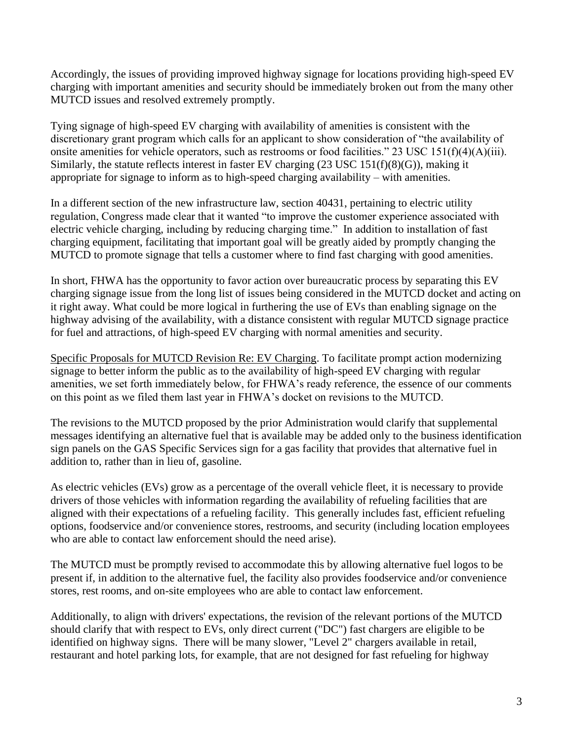Accordingly, the issues of providing improved highway signage for locations providing high-speed EV charging with important amenities and security should be immediately broken out from the many other MUTCD issues and resolved extremely promptly.

Tying signage of high-speed EV charging with availability of amenities is consistent with the discretionary grant program which calls for an applicant to show consideration of "the availability of onsite amenities for vehicle operators, such as restrooms or food facilities." 23 USC 151(f)(4)(A)(iii). Similarly, the statute reflects interest in faster EV charging (23 USC 151(f)(8)(G)), making it appropriate for signage to inform as to high-speed charging availability – with amenities.

In a different section of the new infrastructure law, section 40431, pertaining to electric utility regulation, Congress made clear that it wanted "to improve the customer experience associated with electric vehicle charging, including by reducing charging time." In addition to installation of fast charging equipment, facilitating that important goal will be greatly aided by promptly changing the MUTCD to promote signage that tells a customer where to find fast charging with good amenities.

In short, FHWA has the opportunity to favor action over bureaucratic process by separating this EV charging signage issue from the long list of issues being considered in the MUTCD docket and acting on it right away. What could be more logical in furthering the use of EVs than enabling signage on the highway advising of the availability, with a distance consistent with regular MUTCD signage practice for fuel and attractions, of high-speed EV charging with normal amenities and security.

Specific Proposals for MUTCD Revision Re: EV Charging. To facilitate prompt action modernizing signage to better inform the public as to the availability of high-speed EV charging with regular amenities, we set forth immediately below, for FHWA's ready reference, the essence of our comments on this point as we filed them last year in FHWA's docket on revisions to the MUTCD.

The revisions to the MUTCD proposed by the prior Administration would clarify that supplemental messages identifying an alternative fuel that is available may be added only to the business identification sign panels on the GAS Specific Services sign for a gas facility that provides that alternative fuel in addition to, rather than in lieu of, gasoline.

As electric vehicles (EVs) grow as a percentage of the overall vehicle fleet, it is necessary to provide drivers of those vehicles with information regarding the availability of refueling facilities that are aligned with their expectations of a refueling facility. This generally includes fast, efficient refueling options, foodservice and/or convenience stores, restrooms, and security (including location employees who are able to contact law enforcement should the need arise).

The MUTCD must be promptly revised to accommodate this by allowing alternative fuel logos to be present if, in addition to the alternative fuel, the facility also provides foodservice and/or convenience stores, rest rooms, and on-site employees who are able to contact law enforcement.

Additionally, to align with drivers' expectations, the revision of the relevant portions of the MUTCD should clarify that with respect to EVs, only direct current ("DC") fast chargers are eligible to be identified on highway signs. There will be many slower, "Level 2" chargers available in retail, restaurant and hotel parking lots, for example, that are not designed for fast refueling for highway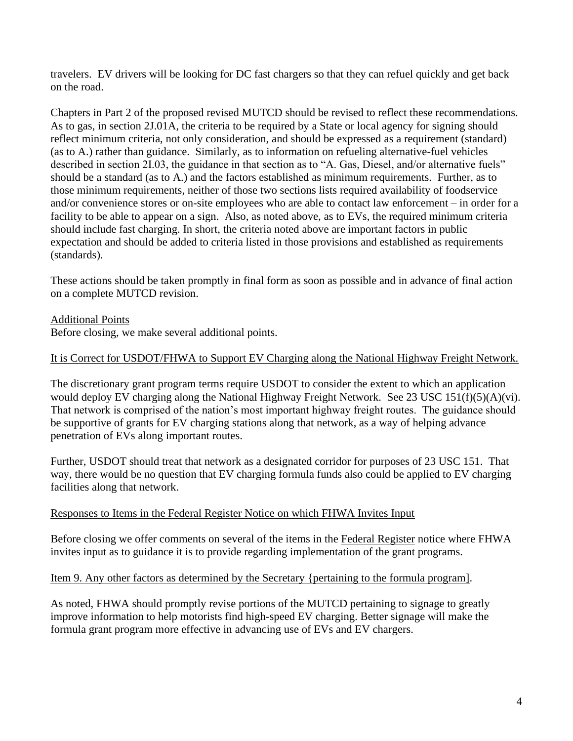travelers. EV drivers will be looking for DC fast chargers so that they can refuel quickly and get back on the road.

Chapters in Part 2 of the proposed revised MUTCD should be revised to reflect these recommendations. As to gas, in section 2J.01A, the criteria to be required by a State or local agency for signing should reflect minimum criteria, not only consideration, and should be expressed as a requirement (standard) (as to A.) rather than guidance. Similarly, as to information on refueling alternative-fuel vehicles described in section 2I.03, the guidance in that section as to "A. Gas, Diesel, and/or alternative fuels" should be a standard (as to A.) and the factors established as minimum requirements. Further, as to those minimum requirements, neither of those two sections lists required availability of foodservice and/or convenience stores or on-site employees who are able to contact law enforcement – in order for a facility to be able to appear on a sign. Also, as noted above, as to EVs, the required minimum criteria should include fast charging. In short, the criteria noted above are important factors in public expectation and should be added to criteria listed in those provisions and established as requirements (standards).

These actions should be taken promptly in final form as soon as possible and in advance of final action on a complete MUTCD revision.

## Additional Points

Before closing, we make several additional points.

### It is Correct for USDOT/FHWA to Support EV Charging along the National Highway Freight Network.

The discretionary grant program terms require USDOT to consider the extent to which an application would deploy EV charging along the National Highway Freight Network. See 23 USC 151(f)(5)(A)(vi). That network is comprised of the nation's most important highway freight routes. The guidance should be supportive of grants for EV charging stations along that network, as a way of helping advance penetration of EVs along important routes.

Further, USDOT should treat that network as a designated corridor for purposes of 23 USC 151. That way, there would be no question that EV charging formula funds also could be applied to EV charging facilities along that network.

#### Responses to Items in the Federal Register Notice on which FHWA Invites Input

Before closing we offer comments on several of the items in the Federal Register notice where FHWA invites input as to guidance it is to provide regarding implementation of the grant programs.

#### Item 9. Any other factors as determined by the Secretary {pertaining to the formula program].

As noted, FHWA should promptly revise portions of the MUTCD pertaining to signage to greatly improve information to help motorists find high-speed EV charging. Better signage will make the formula grant program more effective in advancing use of EVs and EV chargers.